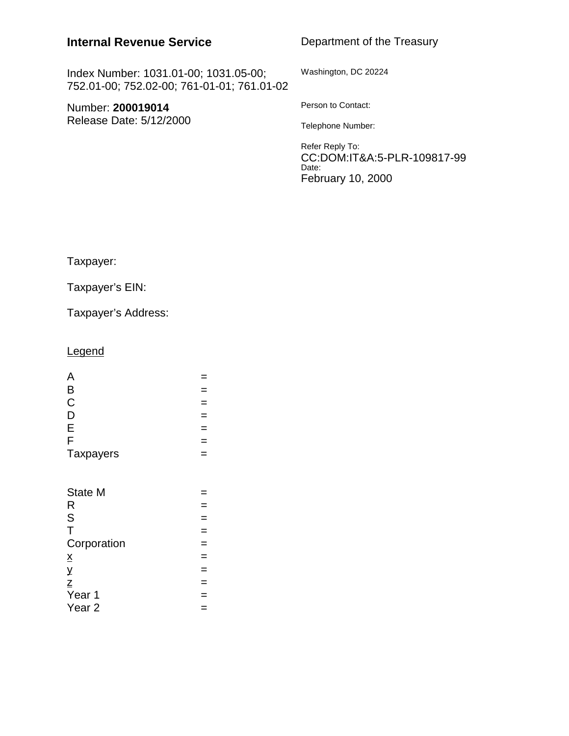# **Internal Revenue Service**

Department of the Treasury

Index Number: 1031.01-00; 1031.05-00; 752.01-00; 752.02-00; 761-01-01; 761.01-02

Number: **200019014** Release Date: 5/12/2000 Washington, DC 20224

Person to Contact:

Telephone Number:

Refer Reply To: CC:DOM:IT&A:5-PLR-109817-99 Date: February 10, 2000

Taxpayer:

Taxpayer's EIN:

Taxpayer's Address:

## **Legend**

| A                                  |               |
|------------------------------------|---------------|
| B                                  | $=$           |
| $\mathsf C$                        | $=$           |
| D                                  | $=$           |
|                                    |               |
| E                                  | $=$           |
| F                                  | $=$           |
| <b>Taxpayers</b>                   | $=$           |
| <b>State M</b><br>R<br>S           | $\frac{1}{1}$ |
|                                    |               |
| T                                  | $=$           |
| Corporation                        | $=$           |
| $\overline{\mathsf{X}}$            | $=$           |
| У                                  | $=$           |
|                                    | $=$           |
| <del>z</del><br><u>Z</u><br>Year 1 | $=$           |
| Year <sub>2</sub>                  | $=$           |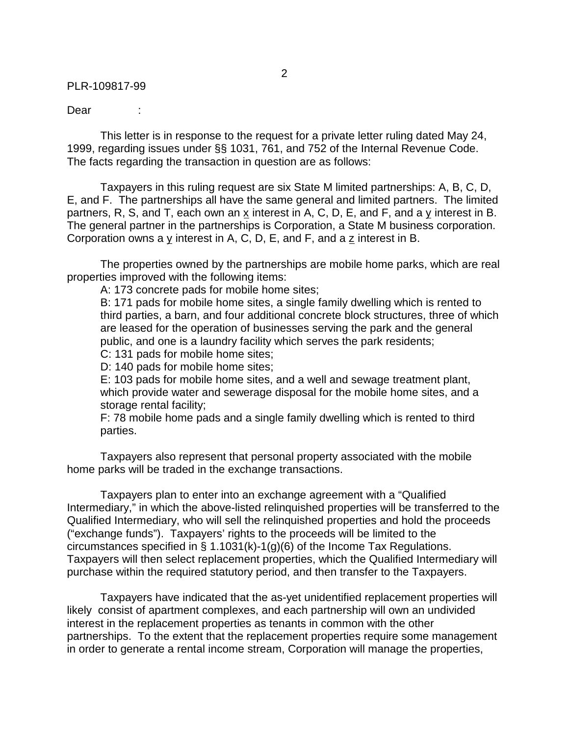Dear :

This letter is in response to the request for a private letter ruling dated May 24, 1999, regarding issues under §§ 1031, 761, and 752 of the Internal Revenue Code. The facts regarding the transaction in question are as follows:

Taxpayers in this ruling request are six State M limited partnerships: A, B, C, D, E, and F. The partnerships all have the same general and limited partners. The limited partners, R, S, and T, each own an x interest in A, C, D, E, and F, and a y interest in B. The general partner in the partnerships is Corporation, a State M business corporation. Corporation owns a y interest in A, C, D, E, and F, and a z interest in B.

The properties owned by the partnerships are mobile home parks, which are real properties improved with the following items:

A: 173 concrete pads for mobile home sites;

B: 171 pads for mobile home sites, a single family dwelling which is rented to third parties, a barn, and four additional concrete block structures, three of which are leased for the operation of businesses serving the park and the general public, and one is a laundry facility which serves the park residents;

C: 131 pads for mobile home sites;

D: 140 pads for mobile home sites;

E: 103 pads for mobile home sites, and a well and sewage treatment plant, which provide water and sewerage disposal for the mobile home sites, and a storage rental facility;

F: 78 mobile home pads and a single family dwelling which is rented to third parties.

Taxpayers also represent that personal property associated with the mobile home parks will be traded in the exchange transactions.

Taxpayers plan to enter into an exchange agreement with a "Qualified Intermediary," in which the above-listed relinquished properties will be transferred to the Qualified Intermediary, who will sell the relinquished properties and hold the proceeds ("exchange funds"). Taxpayers' rights to the proceeds will be limited to the circumstances specified in § 1.1031(k)-1(g)(6) of the Income Tax Regulations. Taxpayers will then select replacement properties, which the Qualified Intermediary will purchase within the required statutory period, and then transfer to the Taxpayers.

Taxpayers have indicated that the as-yet unidentified replacement properties will likely consist of apartment complexes, and each partnership will own an undivided interest in the replacement properties as tenants in common with the other partnerships. To the extent that the replacement properties require some management in order to generate a rental income stream, Corporation will manage the properties,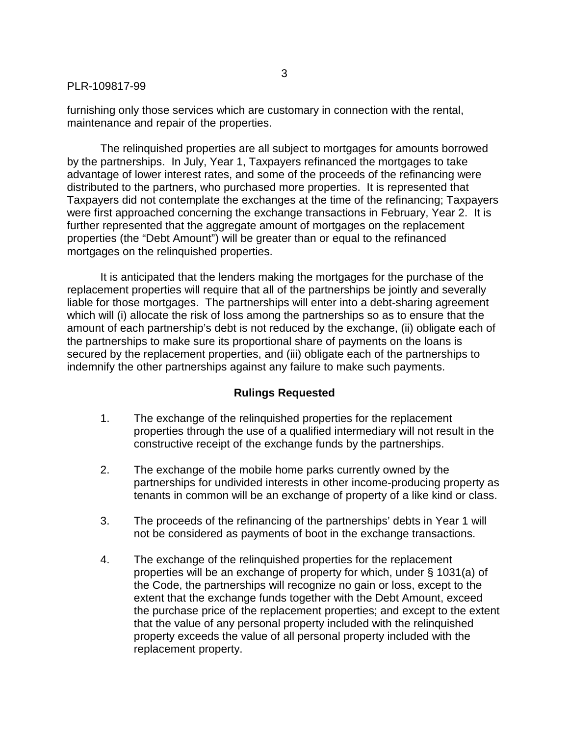furnishing only those services which are customary in connection with the rental, maintenance and repair of the properties.

The relinquished properties are all subject to mortgages for amounts borrowed by the partnerships. In July, Year 1, Taxpayers refinanced the mortgages to take advantage of lower interest rates, and some of the proceeds of the refinancing were distributed to the partners, who purchased more properties. It is represented that Taxpayers did not contemplate the exchanges at the time of the refinancing; Taxpayers were first approached concerning the exchange transactions in February, Year 2. It is further represented that the aggregate amount of mortgages on the replacement properties (the "Debt Amount") will be greater than or equal to the refinanced mortgages on the relinquished properties.

It is anticipated that the lenders making the mortgages for the purchase of the replacement properties will require that all of the partnerships be jointly and severally liable for those mortgages. The partnerships will enter into a debt-sharing agreement which will (i) allocate the risk of loss among the partnerships so as to ensure that the amount of each partnership's debt is not reduced by the exchange, (ii) obligate each of the partnerships to make sure its proportional share of payments on the loans is secured by the replacement properties, and (iii) obligate each of the partnerships to indemnify the other partnerships against any failure to make such payments.

## **Rulings Requested**

- 1. The exchange of the relinquished properties for the replacement properties through the use of a qualified intermediary will not result in the constructive receipt of the exchange funds by the partnerships.
- 2. The exchange of the mobile home parks currently owned by the partnerships for undivided interests in other income-producing property as tenants in common will be an exchange of property of a like kind or class.
- 3. The proceeds of the refinancing of the partnerships' debts in Year 1 will not be considered as payments of boot in the exchange transactions.
- 4. The exchange of the relinquished properties for the replacement properties will be an exchange of property for which, under § 1031(a) of the Code, the partnerships will recognize no gain or loss, except to the extent that the exchange funds together with the Debt Amount, exceed the purchase price of the replacement properties; and except to the extent that the value of any personal property included with the relinquished property exceeds the value of all personal property included with the replacement property.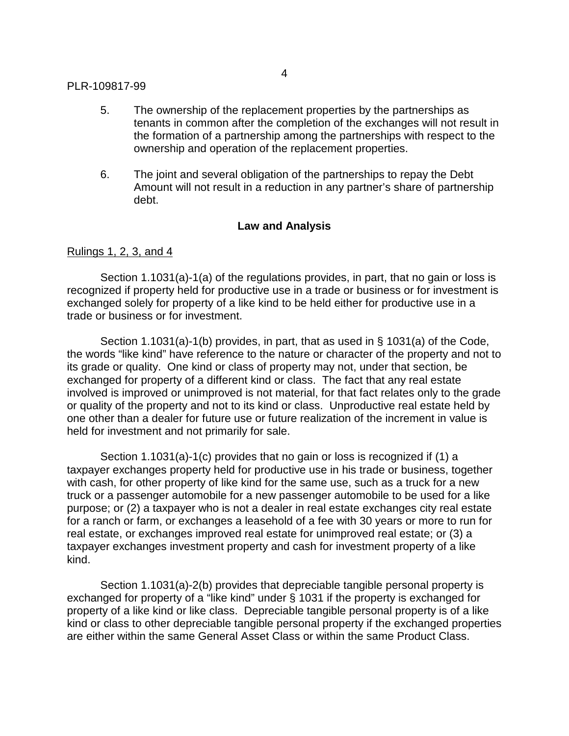- 5. The ownership of the replacement properties by the partnerships as tenants in common after the completion of the exchanges will not result in the formation of a partnership among the partnerships with respect to the ownership and operation of the replacement properties.
- 6. The joint and several obligation of the partnerships to repay the Debt Amount will not result in a reduction in any partner's share of partnership debt.

## **Law and Analysis**

## Rulings 1, 2, 3, and 4

Section 1.1031(a)-1(a) of the regulations provides, in part, that no gain or loss is recognized if property held for productive use in a trade or business or for investment is exchanged solely for property of a like kind to be held either for productive use in a trade or business or for investment.

Section 1.1031(a)-1(b) provides, in part, that as used in § 1031(a) of the Code, the words "like kind" have reference to the nature or character of the property and not to its grade or quality. One kind or class of property may not, under that section, be exchanged for property of a different kind or class. The fact that any real estate involved is improved or unimproved is not material, for that fact relates only to the grade or quality of the property and not to its kind or class. Unproductive real estate held by one other than a dealer for future use or future realization of the increment in value is held for investment and not primarily for sale.

Section 1.1031(a)-1(c) provides that no gain or loss is recognized if (1) a taxpayer exchanges property held for productive use in his trade or business, together with cash, for other property of like kind for the same use, such as a truck for a new truck or a passenger automobile for a new passenger automobile to be used for a like purpose; or (2) a taxpayer who is not a dealer in real estate exchanges city real estate for a ranch or farm, or exchanges a leasehold of a fee with 30 years or more to run for real estate, or exchanges improved real estate for unimproved real estate; or (3) a taxpayer exchanges investment property and cash for investment property of a like kind.

Section 1.1031(a)-2(b) provides that depreciable tangible personal property is exchanged for property of a "like kind" under § 1031 if the property is exchanged for property of a like kind or like class. Depreciable tangible personal property is of a like kind or class to other depreciable tangible personal property if the exchanged properties are either within the same General Asset Class or within the same Product Class.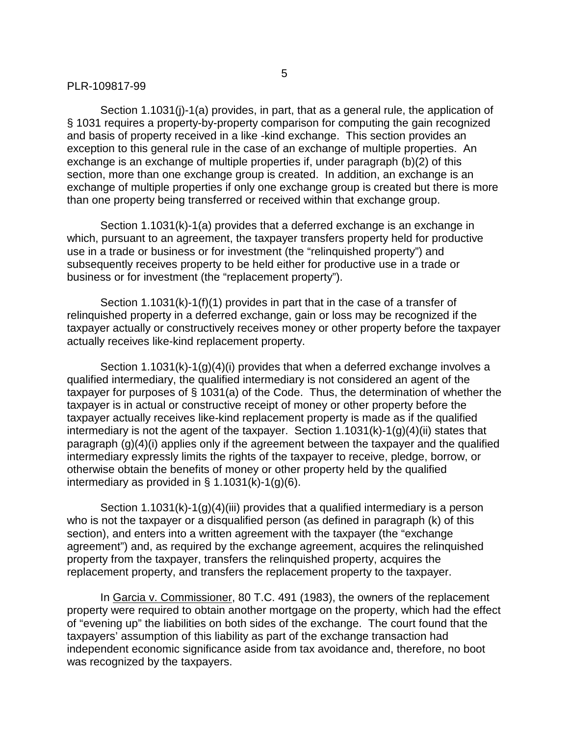Section 1.1031(j)-1(a) provides, in part, that as a general rule, the application of § 1031 requires a property-by-property comparison for computing the gain recognized and basis of property received in a like -kind exchange. This section provides an exception to this general rule in the case of an exchange of multiple properties. An exchange is an exchange of multiple properties if, under paragraph (b)(2) of this section, more than one exchange group is created. In addition, an exchange is an exchange of multiple properties if only one exchange group is created but there is more than one property being transferred or received within that exchange group.

Section 1.1031(k)-1(a) provides that a deferred exchange is an exchange in which, pursuant to an agreement, the taxpayer transfers property held for productive use in a trade or business or for investment (the "relinquished property") and subsequently receives property to be held either for productive use in a trade or business or for investment (the "replacement property").

Section 1.1031(k)-1(f)(1) provides in part that in the case of a transfer of relinquished property in a deferred exchange, gain or loss may be recognized if the taxpayer actually or constructively receives money or other property before the taxpayer actually receives like-kind replacement property.

Section 1.1031(k)-1(g)(4)(i) provides that when a deferred exchange involves a qualified intermediary, the qualified intermediary is not considered an agent of the taxpayer for purposes of § 1031(a) of the Code. Thus, the determination of whether the taxpayer is in actual or constructive receipt of money or other property before the taxpayer actually receives like-kind replacement property is made as if the qualified intermediary is not the agent of the taxpayer. Section 1.1031(k)-1(g)(4)(ii) states that paragraph (g)(4)(i) applies only if the agreement between the taxpayer and the qualified intermediary expressly limits the rights of the taxpayer to receive, pledge, borrow, or otherwise obtain the benefits of money or other property held by the qualified intermediary as provided in  $\S$  1.1031(k)-1(g)(6).

Section 1.1031(k)-1(g)(4)(iii) provides that a qualified intermediary is a person who is not the taxpayer or a disqualified person (as defined in paragraph (k) of this section), and enters into a written agreement with the taxpayer (the "exchange agreement") and, as required by the exchange agreement, acquires the relinquished property from the taxpayer, transfers the relinquished property, acquires the replacement property, and transfers the replacement property to the taxpayer.

In Garcia v. Commissioner, 80 T.C. 491 (1983), the owners of the replacement property were required to obtain another mortgage on the property, which had the effect of "evening up" the liabilities on both sides of the exchange. The court found that the taxpayers' assumption of this liability as part of the exchange transaction had independent economic significance aside from tax avoidance and, therefore, no boot was recognized by the taxpayers.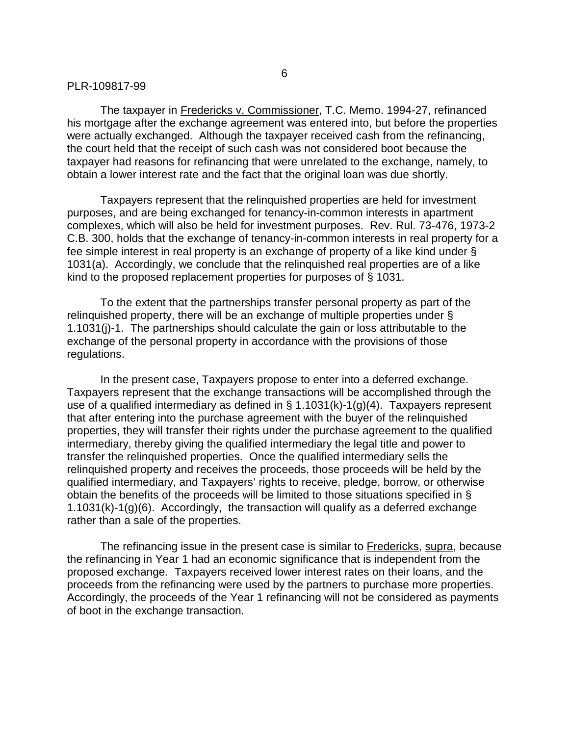The taxpayer in Fredericks v. Commissioner, T.C. Memo. 1994-27, refinanced his mortgage after the exchange agreement was entered into, but before the properties were actually exchanged. Although the taxpayer received cash from the refinancing, the court held that the receipt of such cash was not considered boot because the taxpayer had reasons for refinancing that were unrelated to the exchange, namely, to obtain a lower interest rate and the fact that the original loan was due shortly.

Taxpayers represent that the relinquished properties are held for investment purposes, and are being exchanged for tenancy-in-common interests in apartment complexes, which will also be held for investment purposes. Rev. Rul. 73-476, 1973-2 C.B. 300, holds that the exchange of tenancy-in-common interests in real property for a fee simple interest in real property is an exchange of property of a like kind under § 1031(a). Accordingly, we conclude that the relinquished real properties are of a like kind to the proposed replacement properties for purposes of § 1031.

To the extent that the partnerships transfer personal property as part of the relinquished property, there will be an exchange of multiple properties under § 1.1031(j)-1. The partnerships should calculate the gain or loss attributable to the exchange of the personal property in accordance with the provisions of those regulations.

In the present case, Taxpayers propose to enter into a deferred exchange. Taxpayers represent that the exchange transactions will be accomplished through the use of a qualified intermediary as defined in  $\S$  1.1031(k)-1(g)(4). Taxpayers represent that after entering into the purchase agreement with the buyer of the relinquished properties, they will transfer their rights under the purchase agreement to the qualified intermediary, thereby giving the qualified intermediary the legal title and power to transfer the relinquished properties. Once the qualified intermediary sells the relinquished property and receives the proceeds, those proceeds will be held by the qualified intermediary, and Taxpayers' rights to receive, pledge, borrow, or otherwise obtain the benefits of the proceeds will be limited to those situations specified in § 1.1031(k)-1(g)(6). Accordingly, the transaction will qualify as a deferred exchange rather than a sale of the properties.

The refinancing issue in the present case is similar to Fredericks, supra, because the refinancing in Year 1 had an economic significance that is independent from the proposed exchange. Taxpayers received lower interest rates on their loans, and the proceeds from the refinancing were used by the partners to purchase more properties. Accordingly, the proceeds of the Year 1 refinancing will not be considered as payments of boot in the exchange transaction.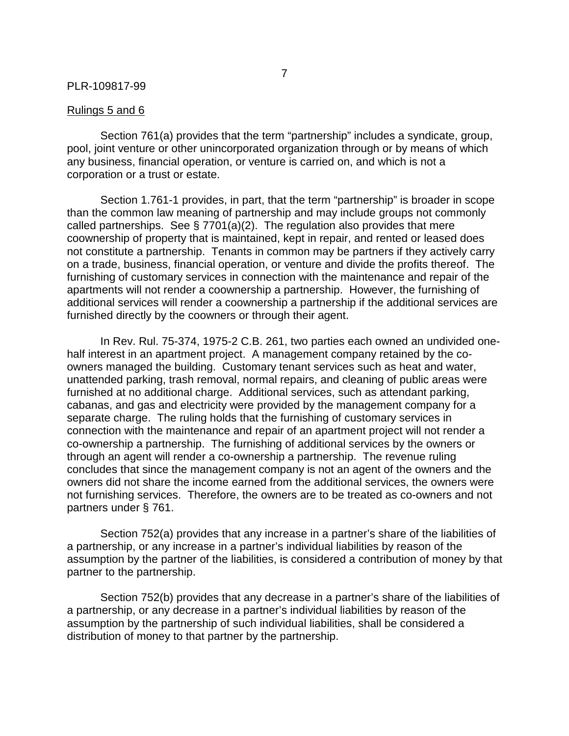#### Rulings 5 and 6

Section 761(a) provides that the term "partnership" includes a syndicate, group, pool, joint venture or other unincorporated organization through or by means of which any business, financial operation, or venture is carried on, and which is not a corporation or a trust or estate.

Section 1.761-1 provides, in part, that the term "partnership" is broader in scope than the common law meaning of partnership and may include groups not commonly called partnerships. See § 7701(a)(2). The regulation also provides that mere coownership of property that is maintained, kept in repair, and rented or leased does not constitute a partnership. Tenants in common may be partners if they actively carry on a trade, business, financial operation, or venture and divide the profits thereof. The furnishing of customary services in connection with the maintenance and repair of the apartments will not render a coownership a partnership. However, the furnishing of additional services will render a coownership a partnership if the additional services are furnished directly by the coowners or through their agent.

In Rev. Rul. 75-374, 1975-2 C.B. 261, two parties each owned an undivided onehalf interest in an apartment project. A management company retained by the coowners managed the building. Customary tenant services such as heat and water, unattended parking, trash removal, normal repairs, and cleaning of public areas were furnished at no additional charge. Additional services, such as attendant parking, cabanas, and gas and electricity were provided by the management company for a separate charge. The ruling holds that the furnishing of customary services in connection with the maintenance and repair of an apartment project will not render a co-ownership a partnership. The furnishing of additional services by the owners or through an agent will render a co-ownership a partnership. The revenue ruling concludes that since the management company is not an agent of the owners and the owners did not share the income earned from the additional services, the owners were not furnishing services. Therefore, the owners are to be treated as co-owners and not partners under § 761.

Section 752(a) provides that any increase in a partner's share of the liabilities of a partnership, or any increase in a partner's individual liabilities by reason of the assumption by the partner of the liabilities, is considered a contribution of money by that partner to the partnership.

Section 752(b) provides that any decrease in a partner's share of the liabilities of a partnership, or any decrease in a partner's individual liabilities by reason of the assumption by the partnership of such individual liabilities, shall be considered a distribution of money to that partner by the partnership.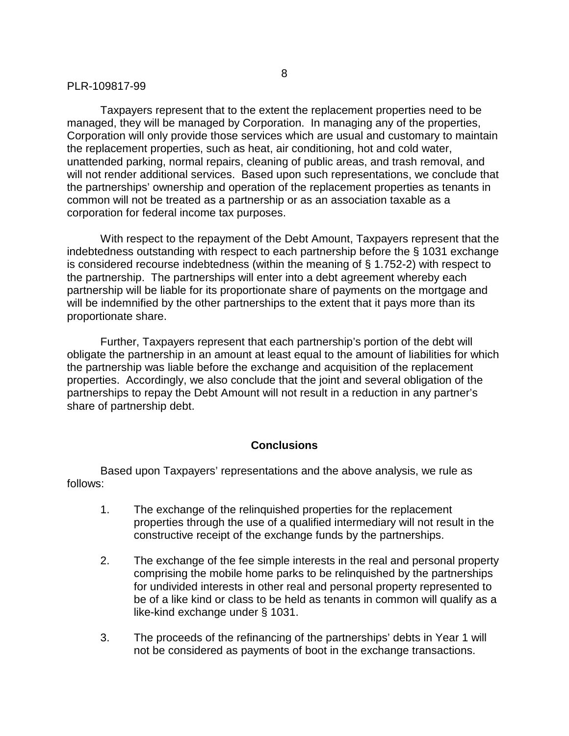Taxpayers represent that to the extent the replacement properties need to be managed, they will be managed by Corporation. In managing any of the properties, Corporation will only provide those services which are usual and customary to maintain the replacement properties, such as heat, air conditioning, hot and cold water, unattended parking, normal repairs, cleaning of public areas, and trash removal, and will not render additional services. Based upon such representations, we conclude that the partnerships' ownership and operation of the replacement properties as tenants in common will not be treated as a partnership or as an association taxable as a corporation for federal income tax purposes.

With respect to the repayment of the Debt Amount, Taxpayers represent that the indebtedness outstanding with respect to each partnership before the § 1031 exchange is considered recourse indebtedness (within the meaning of § 1.752-2) with respect to the partnership. The partnerships will enter into a debt agreement whereby each partnership will be liable for its proportionate share of payments on the mortgage and will be indemnified by the other partnerships to the extent that it pays more than its proportionate share.

Further, Taxpayers represent that each partnership's portion of the debt will obligate the partnership in an amount at least equal to the amount of liabilities for which the partnership was liable before the exchange and acquisition of the replacement properties. Accordingly, we also conclude that the joint and several obligation of the partnerships to repay the Debt Amount will not result in a reduction in any partner's share of partnership debt.

#### **Conclusions**

Based upon Taxpayers' representations and the above analysis, we rule as follows:

- 1. The exchange of the relinquished properties for the replacement properties through the use of a qualified intermediary will not result in the constructive receipt of the exchange funds by the partnerships.
- 2. The exchange of the fee simple interests in the real and personal property comprising the mobile home parks to be relinquished by the partnerships for undivided interests in other real and personal property represented to be of a like kind or class to be held as tenants in common will qualify as a like-kind exchange under § 1031.
- 3. The proceeds of the refinancing of the partnerships' debts in Year 1 will not be considered as payments of boot in the exchange transactions.